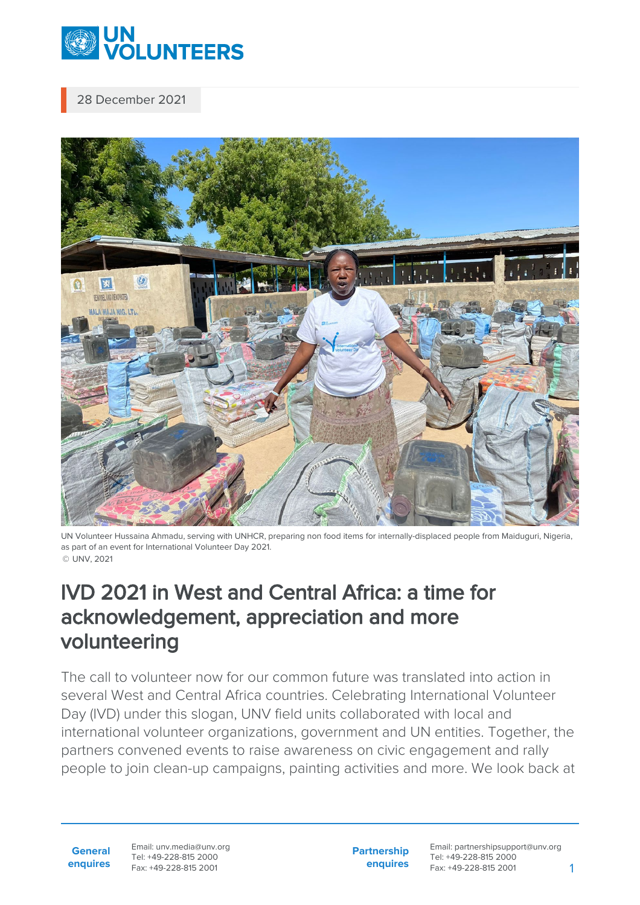

28 December 2021



UN Volunteer Hussaina Ahmadu, serving with UNHCR, preparing non food items for internally-displaced people from Maiduguri, Nigeria, as part of an event for International Volunteer Day 2021. © UNV, 2021

## IVD 2021 in West and Central Africa: a time for acknowledgement, appreciation and more volunteering

The call to volunteer now for our common future was translated into action in several West and Central Africa countries. Celebrating International Volunteer Day (IVD) under this slogan, UNV field units collaborated with local and international volunteer organizations, government and UN entities. Together, the partners convened events to raise awareness on civic engagement and rally people to join clean-up campaigns, painting activities and more. We look back at

**General enquires** Email: unv.media@unv.org Tel: +49-228-815 2000 Fax: +49-228-815 2001

**Partnership enquires** Email: partnershipsupport@unv.org Tel: +49-228-815 2000 Fax: +49-228-815 2001 1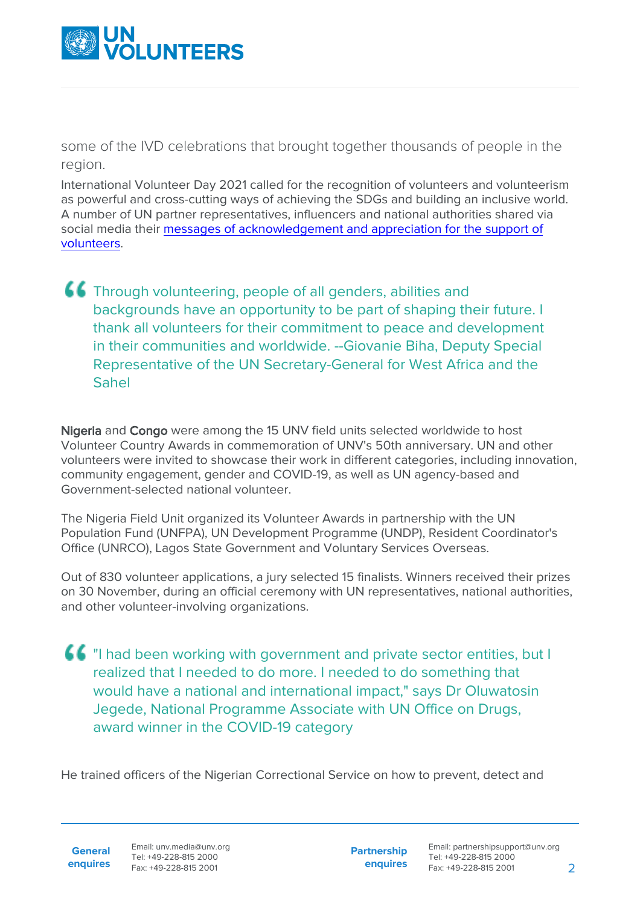

some of the IVD celebrations that brought together thousands of people in the region.

International Volunteer Day 2021 called for the recognition of volunteers and volunteerism as powerful and cross-cutting ways of achieving the SDGs and building an inclusive world. A number of UN partner representatives, influencers and national authorities shared via social media their [messages of acknowledgement and appreciation for the support of](https://youtube.com/playlist?list=PLIPU90XDRFe7OSEEjJKRXBwbFMgauQQFl) [volunteers.](https://youtube.com/playlist?list=PLIPU90XDRFe7OSEEjJKRXBwbFMgauQQFl)

## Through volunteering, people of all genders, abilities and backgrounds have an opportunity to be part of shaping their future. I thank all volunteers for their commitment to peace and development in their communities and worldwide. --Giovanie Biha, Deputy Special Representative of the UN Secretary-General for West Africa and the Sahel

Nigeria and Congo were among the 15 UNV field units selected worldwide to host Volunteer Country Awards in commemoration of UNV's 50th anniversary. UN and other volunteers were invited to showcase their work in different categories, including innovation, community engagement, gender and COVID-19, as well as UN agency-based and Government-selected national volunteer.

The Nigeria Field Unit organized its Volunteer Awards in partnership with the UN Population Fund (UNFPA), UN Development Programme (UNDP), Resident Coordinator's Office (UNRCO), Lagos State Government and Voluntary Services Overseas.

Out of 830 volunteer applications, a jury selected 15 finalists. Winners received their prizes on 30 November, during an official ceremony with UN representatives, national authorities, and other volunteer-involving organizations.

"I had been working with government and private sector entities, but I realized that I needed to do more. I needed to do something that would have a national and international impact," says Dr Oluwatosin Jegede, National Programme Associate with UN Office on Drugs, award winner in the COVID-19 category

He trained officers of the Nigerian Correctional Service on how to prevent, detect and

**General enquires** Email: unv.media@unv.org Tel: +49-228-815 2000 Fax: +49-228-815 2001

**Partnership enquires**

Email: partnershipsupport@unv.org Tel: +49-228-815 2000 Fax: +49-228-815 2001 2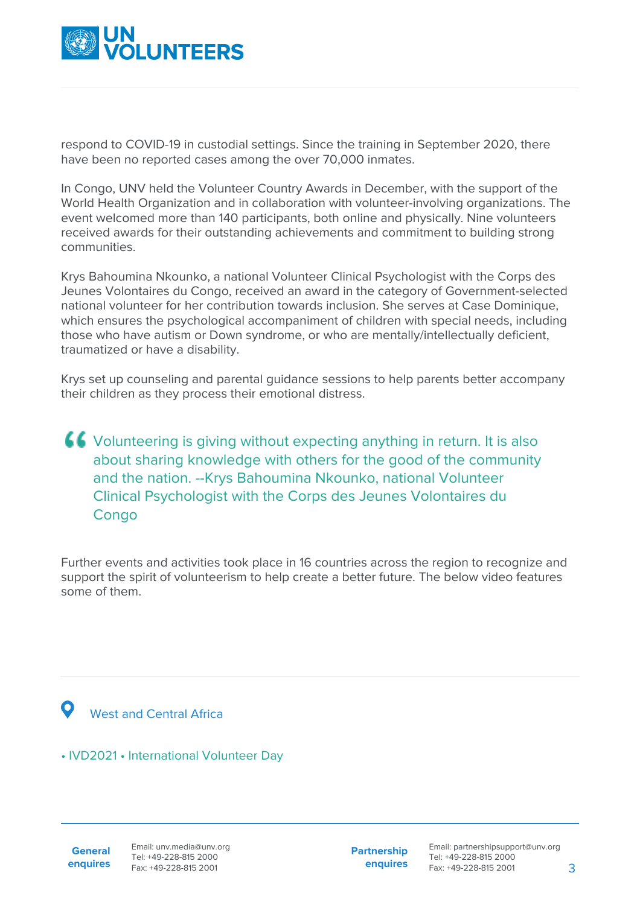

respond to COVID-19 in custodial settings. Since the training in September 2020, there have been no reported cases among the over 70,000 inmates.

In Congo, UNV held the Volunteer Country Awards in December, with the support of the World Health Organization and in collaboration with volunteer-involving organizations. The event welcomed more than 140 participants, both online and physically. Nine volunteers received awards for their outstanding achievements and commitment to building strong communities.

Krys Bahoumina Nkounko, a national Volunteer Clinical Psychologist with the Corps des Jeunes Volontaires du Congo, received an award in the category of Government-selected national volunteer for her contribution towards inclusion. She serves at Case Dominique, which ensures the psychological accompaniment of children with special needs, including those who have autism or Down syndrome, or who are mentally/intellectually deficient, traumatized or have a disability.

Krys set up counseling and parental guidance sessions to help parents better accompany their children as they process their emotional distress.

Volunteering is giving without expecting anything in return. It is also about sharing knowledge with others for the good of the community and the nation. --Krys Bahoumina Nkounko, national Volunteer Clinical Psychologist with the Corps des Jeunes Volontaires du **Congo** 

Further events and activities took place in 16 countries across the region to recognize and support the spirit of volunteerism to help create a better future. The below video features some of them.



• IVD2021 • International Volunteer Day

**General enquires** **Partnership enquires**